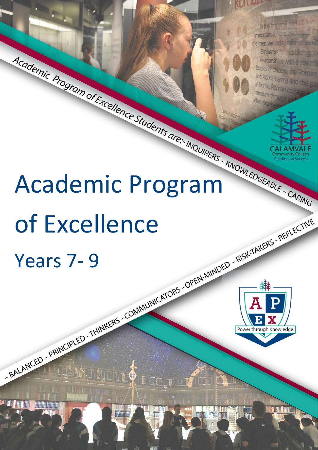## **ROLLIQUE**

Imperial period, N.V. In the important for the lear the men we today refer to a Emperors, to estab



# Academic Program of Excellence Students are: MOUMERS - MOWLEDGEABLE - CARING of Excellence



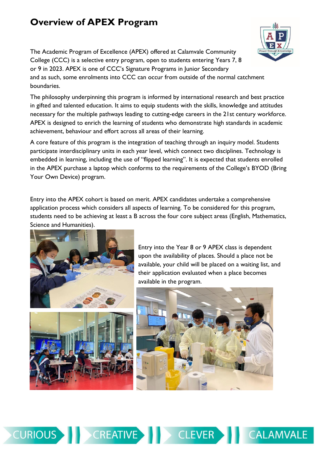# **Overview of APEX Program**



The philosophy underpinning this program is informed by international research and best practice in gifted and talented education. It aims to equip students with the skills, knowledge and attitudes necessary for the multiple pathways leading to cutting-edge careers in the 21st century workforce. APEX is designed to enrich the learning of students who demonstrate high standards in academic achievement, behaviour and effort across all areas of their learning.

A core feature of this program is the integration of teaching through an inquiry model. Students participate interdisciplinary units in each year level, which connect two disciplines. Technology is embedded in learning, including the use of "flipped learning". It is expected that students enrolled in the APEX purchase a laptop which conforms to the requirements of the College's BYOD (Bring Your Own Device) program.

Entry into the APEX cohort is based on merit. APEX candidates undertake a comprehensive application process which considers all aspects of learning. To be considered for this program, students need to be achieving at least a B across the four core subject areas (English, Mathematics, Science and Humanities).



Entry into the Year 8 or 9 APEX class is dependent upon the availability of places. Should a place not be available, your child will be placed on a waiting list, and their application evaluated when a place becomes available in the program.





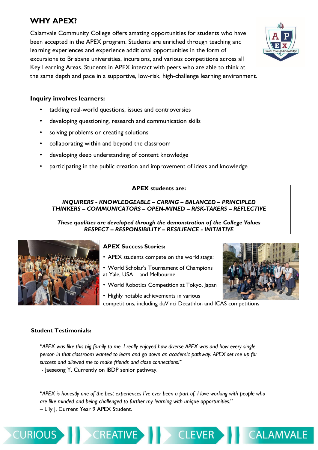# **WHY APEX?**

Calamvale Community College offers amazing opportunities for students who have been accepted in the APEX program. Students are enriched through teaching and learning experiences and experience additional opportunities in the form of excursions to Brisbane universities, incursions, and various competitions across all Key Learning Areas. Students in APEX interact with peers who are able to think at the same depth and pace in a supportive, low-risk, high-challenge learning environment.



- tackling real-world questions, issues and controversies
- developing questioning, research and communication skills
- solving problems or creating solutions
- collaborating within and beyond the classroom
- developing deep understanding of content knowledge
- participating in the public creation and improvement of ideas and knowledge

### **APEX students are:**

### *INQUIRERS - KNOWLEDGEABLE – CARING – BALANCED – PRINCIPLED THINKERS – COMMUNICATORS – OPEN-MINED – RISK-TAKERS – REFLECTIVE*

*These qualities are developed through the demonstration of the College Values RESPECT – RESPONSIBILITY – RESILIENCE - INITIATIVE*



### **APEX Success Stories:**

- APEX students compete on the world stage:
- World Scholar's Tournament of Champions at Yale, USA and Melbourne
- World Robotics Competition at Tokyo, Japan



**CALAMVALE** 

• Highly notable achievements in various competitions, including daVinci Decathlon and ICAS competitions

CLEVER

### **Student Testimonials:**

**CURIOUS** 

"*APEX was like this big family to me. I really enjoyed how diverse APEX was and how every single person in that classroom wanted to learn and go down an academic pathway. APEX set me up for success and allowed me to make friends and close connections!"*

- Jaeseong Y, Currently on IBDP senior pathway.

**CREATIVE** 

"*APEX is honestly one of the best experiences I've ever been a part of. I love working with people who are like minded and being challenged to further my learning with unique opportunities.*" – Lily J, Current Year 9 APEX Student.

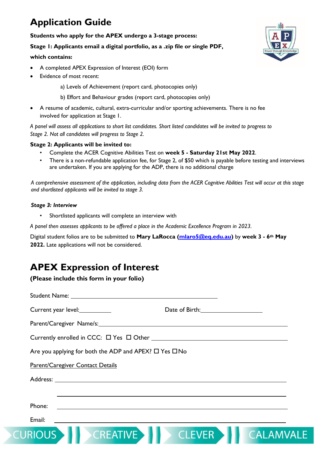# **Application Guide**

### **Students who apply for the APEX undergo a 3-stage process:**

### **Stage 1: Applicants email a digital portfolio, as a .zip file or single PDF,**

### **which contains:**

- A completed APEX Expression of Interest (EOI) form
- Evidence of most recent:
	- a) Levels of Achievement (report card, photocopies only)
	- b) Effort and Behaviour grades (report card, photocopies only)
- A resume of academic, cultural, extra-curricular and/or sporting achievements. There is no fee involved for application at Stage 1.

*A panel will assess all applications to short list candidates. Short listed candidates will be invited to progress to Stage 2. Not all candidates will progress to Stage 2.*

### **Stage 2: Applicants will be invited to:**

- Complete the ACER Cognitive Abilities Test on **week 5 - Saturday 21st May 2022**.
- There is a non-refundable application fee, for Stage 2, of \$50 which is payable before testing and interviews are undertaken. If you are applying for the ADP, there is no additional charge

*A comprehensive assessment of the application, including data from the ACER Cognitive Abilities Test will occur at this stage and shortlisted applicants will be invited to stage 3.*

### *Stage 3: Interview*

• Shortlisted applicants will complete an interview with

*A panel then assesses applicants to be offered a place in the Academic Excellence Program in 2023.*

Digital student folios are to be submitted to **Mary LaRocca [\(mlaro5@eq.edu.au\)](mailto:rmpen0@eq.edu.au)** by **week 3 - 6th May 2022.** Late applications will not be considered.

# **APEX Expression of Interest**

### **(Please include this form in your folio)**

| Current year level:                                                                                                                                                                                                            | Date of Birth: 2008 |
|--------------------------------------------------------------------------------------------------------------------------------------------------------------------------------------------------------------------------------|---------------------|
| Parent/Caregiver Name/s: 2008 2014 2022 2023 2024 2022 2023 2024 2022 2023 2024 2022 2023 2024 2022 2023 2024 2022 2023 2024 2022 2023 2024 2022 2023 2024 2022 2023 2024 2022 2023 2024 2022 2023 2024 2022 2023 2024 2022 20 |                     |
|                                                                                                                                                                                                                                |                     |
| Are you applying for both the ADP and APEX? □ Yes □ No                                                                                                                                                                         |                     |
| Parent/Caregiver Contact Details                                                                                                                                                                                               |                     |
|                                                                                                                                                                                                                                |                     |
|                                                                                                                                                                                                                                |                     |
| Phone:                                                                                                                                                                                                                         |                     |
| Email:                                                                                                                                                                                                                         |                     |
|                                                                                                                                                                                                                                | -AN                 |

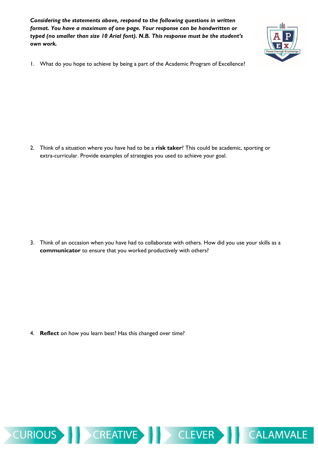*Considering the statements above, respond to the following questions in written format. You have a maximum of one page. Your response can be handwritten or typed (no smaller than size 10 Arial font). N.B. This response must be the student's own work.*



**CALAMVALE** 

1. What do you hope to achieve by being a part of the Academic Program of Excellence?

2. Think of a situation where you have had to be a **risk taker**? This could be academic, sporting or extra-curricular. Provide examples of strategies you used to achieve your goal.

3. Think of an occasion when you have had to collaborate with others. How did you use your skills as a **communicator** to ensure that you worked productively with others?

4. **Reflect** on how you learn best? Has this changed over time?